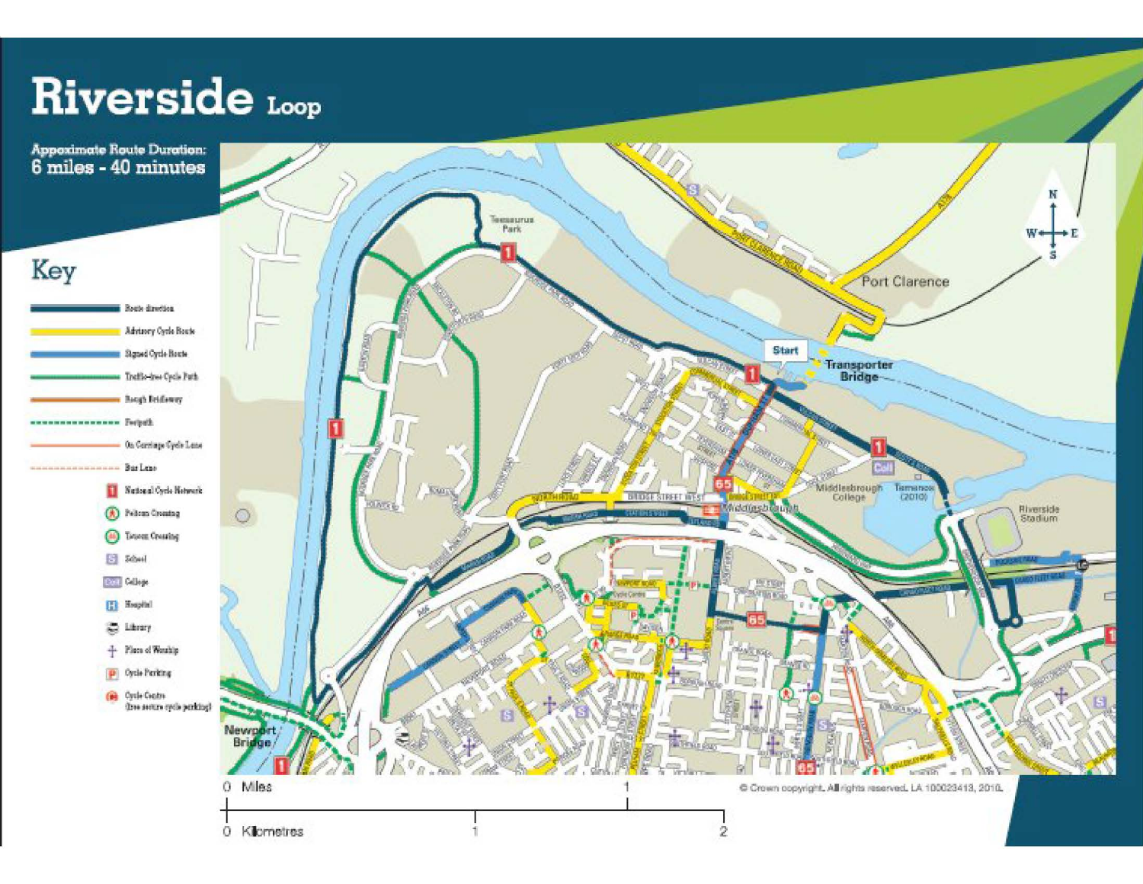## Riverside Loop